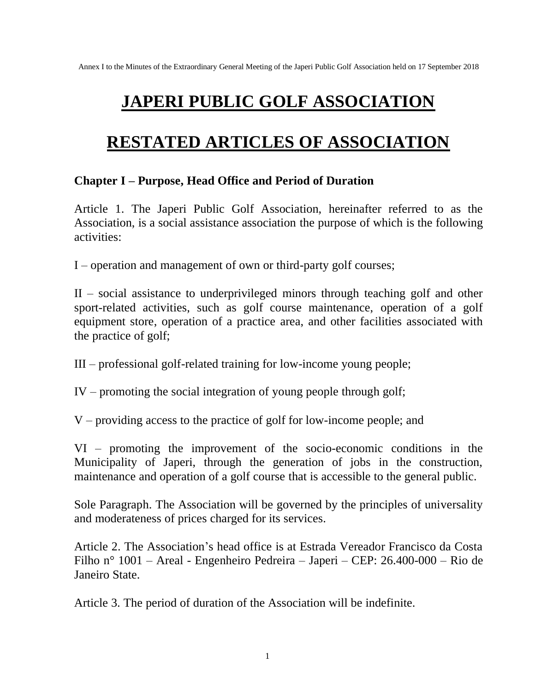# **JAPERI PUBLIC GOLF ASSOCIATION**

# **RESTATED ARTICLES OF ASSOCIATION**

### **Chapter I – Purpose, Head Office and Period of Duration**

Article 1. The Japeri Public Golf Association, hereinafter referred to as the Association, is a social assistance association the purpose of which is the following activities:

I – operation and management of own or third-party golf courses;

II – social assistance to underprivileged minors through teaching golf and other sport-related activities, such as golf course maintenance, operation of a golf equipment store, operation of a practice area, and other facilities associated with the practice of golf;

III – professional golf-related training for low-income young people;

IV – promoting the social integration of young people through golf;

V – providing access to the practice of golf for low-income people; and

VI – promoting the improvement of the socio-economic conditions in the Municipality of Japeri, through the generation of jobs in the construction, maintenance and operation of a golf course that is accessible to the general public.

Sole Paragraph. The Association will be governed by the principles of universality and moderateness of prices charged for its services.

Article 2. The Association's head office is at Estrada Vereador Francisco da Costa Filho n° 1001 – Areal - Engenheiro Pedreira – Japeri – CEP: 26.400-000 – Rio de Janeiro State.

Article 3. The period of duration of the Association will be indefinite.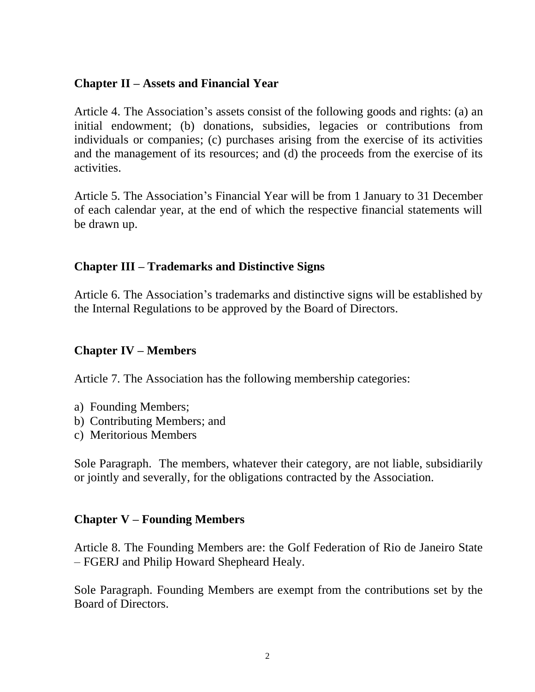## **Chapter II – Assets and Financial Year**

Article 4. The Association's assets consist of the following goods and rights: (a) an initial endowment; (b) donations, subsidies, legacies or contributions from individuals or companies; (c) purchases arising from the exercise of its activities and the management of its resources; and (d) the proceeds from the exercise of its activities.

Article 5. The Association's Financial Year will be from 1 January to 31 December of each calendar year, at the end of which the respective financial statements will be drawn up.

### **Chapter III – Trademarks and Distinctive Signs**

Article 6. The Association's trademarks and distinctive signs will be established by the Internal Regulations to be approved by the Board of Directors.

### **Chapter IV – Members**

Article 7. The Association has the following membership categories:

- a) Founding Members;
- b) Contributing Members; and
- c) Meritorious Members

Sole Paragraph. The members, whatever their category, are not liable, subsidiarily or jointly and severally, for the obligations contracted by the Association.

### **Chapter V – Founding Members**

Article 8. The Founding Members are: the Golf Federation of Rio de Janeiro State – FGERJ and Philip Howard Shepheard Healy.

Sole Paragraph. Founding Members are exempt from the contributions set by the Board of Directors.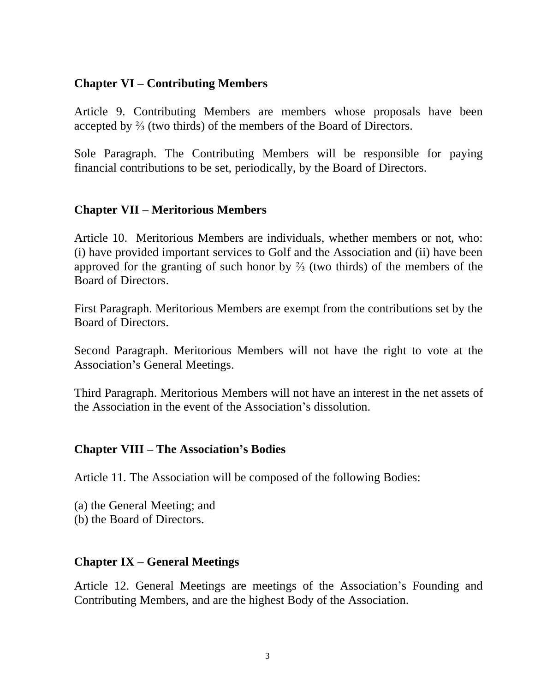## **Chapter VI – Contributing Members**

Article 9. Contributing Members are members whose proposals have been accepted by ⅔ (two thirds) of the members of the Board of Directors.

Sole Paragraph. The Contributing Members will be responsible for paying financial contributions to be set, periodically, by the Board of Directors.

## **Chapter VII – Meritorious Members**

Article 10. Meritorious Members are individuals, whether members or not, who: (i) have provided important services to Golf and the Association and (ii) have been approved for the granting of such honor by ⅔ (two thirds) of the members of the Board of Directors.

First Paragraph. Meritorious Members are exempt from the contributions set by the Board of Directors.

Second Paragraph. Meritorious Members will not have the right to vote at the Association's General Meetings.

Third Paragraph. Meritorious Members will not have an interest in the net assets of the Association in the event of the Association's dissolution.

### **Chapter VIII – The Association's Bodies**

Article 11. The Association will be composed of the following Bodies:

(a) the General Meeting; and (b) the Board of Directors.

## **Chapter IX – General Meetings**

Article 12. General Meetings are meetings of the Association's Founding and Contributing Members, and are the highest Body of the Association.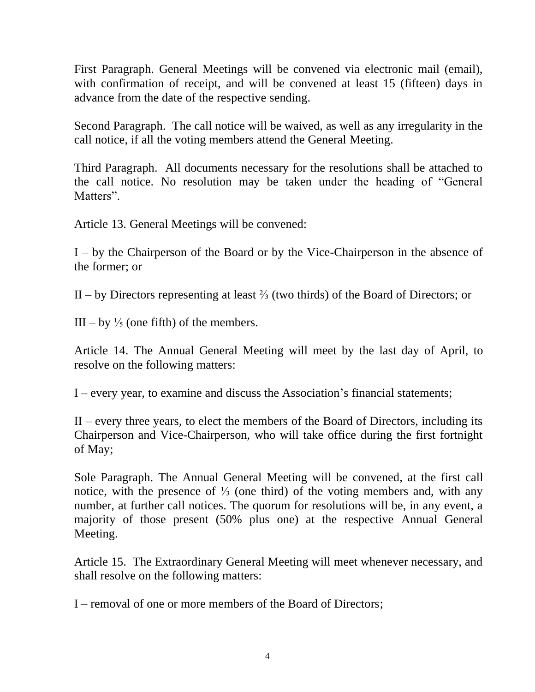First Paragraph. General Meetings will be convened via electronic mail (email), with confirmation of receipt, and will be convened at least 15 (fifteen) days in advance from the date of the respective sending.

Second Paragraph. The call notice will be waived, as well as any irregularity in the call notice, if all the voting members attend the General Meeting.

Third Paragraph. All documents necessary for the resolutions shall be attached to the call notice. No resolution may be taken under the heading of "General Matters".

Article 13. General Meetings will be convened:

I – by the Chairperson of the Board or by the Vice-Chairperson in the absence of the former; or

II – by Directors representing at least ⅔ (two thirds) of the Board of Directors; or

III – by  $\frac{1}{5}$  (one fifth) of the members.

Article 14. The Annual General Meeting will meet by the last day of April, to resolve on the following matters:

I – every year, to examine and discuss the Association's financial statements;

II – every three years, to elect the members of the Board of Directors, including its Chairperson and Vice-Chairperson, who will take office during the first fortnight of May;

Sole Paragraph. The Annual General Meeting will be convened, at the first call notice, with the presence of ⅓ (one third) of the voting members and, with any number, at further call notices. The quorum for resolutions will be, in any event, a majority of those present (50% plus one) at the respective Annual General Meeting.

Article 15. The Extraordinary General Meeting will meet whenever necessary, and shall resolve on the following matters:

I – removal of one or more members of the Board of Directors;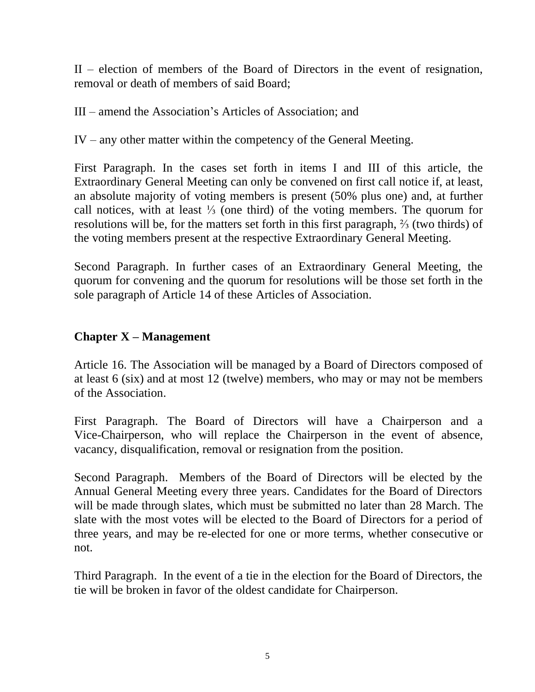II – election of members of the Board of Directors in the event of resignation, removal or death of members of said Board;

III – amend the Association's Articles of Association; and

IV – any other matter within the competency of the General Meeting.

First Paragraph. In the cases set forth in items I and III of this article, the Extraordinary General Meeting can only be convened on first call notice if, at least, an absolute majority of voting members is present (50% plus one) and, at further call notices, with at least ⅓ (one third) of the voting members. The quorum for resolutions will be, for the matters set forth in this first paragraph, ⅔ (two thirds) of the voting members present at the respective Extraordinary General Meeting.

Second Paragraph. In further cases of an Extraordinary General Meeting, the quorum for convening and the quorum for resolutions will be those set forth in the sole paragraph of Article 14 of these Articles of Association.

## **Chapter X – Management**

Article 16. The Association will be managed by a Board of Directors composed of at least 6 (six) and at most 12 (twelve) members, who may or may not be members of the Association.

First Paragraph. The Board of Directors will have a Chairperson and a Vice-Chairperson, who will replace the Chairperson in the event of absence, vacancy, disqualification, removal or resignation from the position.

Second Paragraph. Members of the Board of Directors will be elected by the Annual General Meeting every three years. Candidates for the Board of Directors will be made through slates, which must be submitted no later than 28 March. The slate with the most votes will be elected to the Board of Directors for a period of three years, and may be re-elected for one or more terms, whether consecutive or not.

Third Paragraph. In the event of a tie in the election for the Board of Directors, the tie will be broken in favor of the oldest candidate for Chairperson.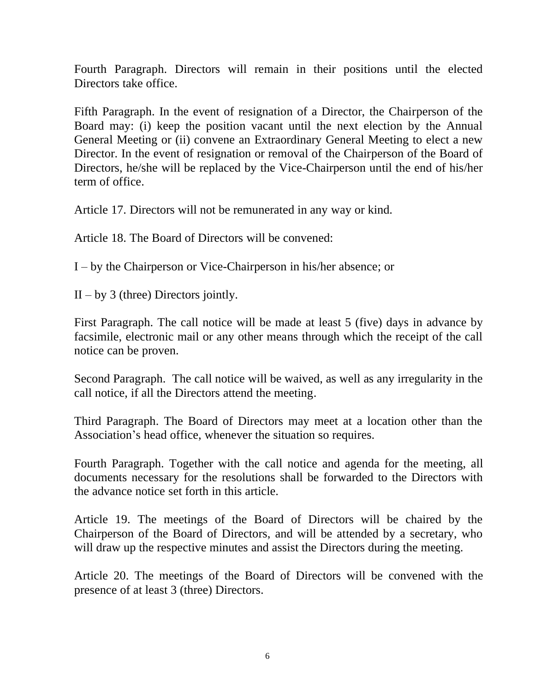Fourth Paragraph. Directors will remain in their positions until the elected Directors take office.

Fifth Paragraph. In the event of resignation of a Director, the Chairperson of the Board may: (i) keep the position vacant until the next election by the Annual General Meeting or (ii) convene an Extraordinary General Meeting to elect a new Director. In the event of resignation or removal of the Chairperson of the Board of Directors, he/she will be replaced by the Vice-Chairperson until the end of his/her term of office.

Article 17. Directors will not be remunerated in any way or kind.

Article 18. The Board of Directors will be convened:

I – by the Chairperson or Vice-Chairperson in his/her absence; or

 $II - by 3$  (three) Directors jointly.

First Paragraph. The call notice will be made at least 5 (five) days in advance by facsimile, electronic mail or any other means through which the receipt of the call notice can be proven.

Second Paragraph. The call notice will be waived, as well as any irregularity in the call notice, if all the Directors attend the meeting.

Third Paragraph. The Board of Directors may meet at a location other than the Association's head office, whenever the situation so requires.

Fourth Paragraph. Together with the call notice and agenda for the meeting, all documents necessary for the resolutions shall be forwarded to the Directors with the advance notice set forth in this article.

Article 19. The meetings of the Board of Directors will be chaired by the Chairperson of the Board of Directors, and will be attended by a secretary, who will draw up the respective minutes and assist the Directors during the meeting.

Article 20. The meetings of the Board of Directors will be convened with the presence of at least 3 (three) Directors.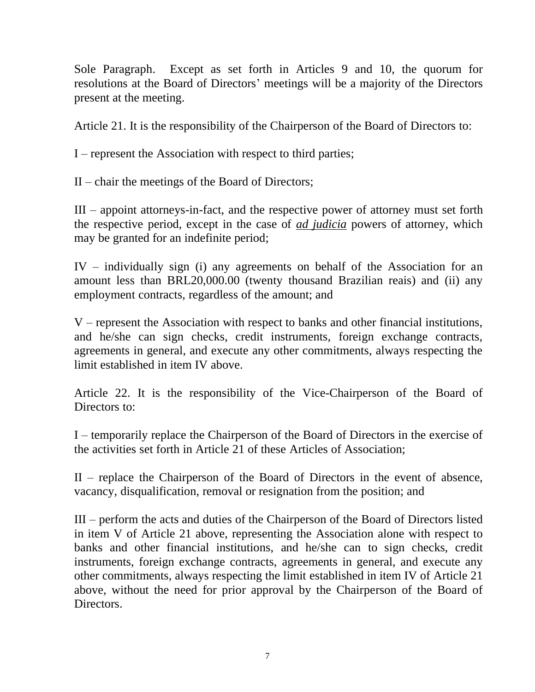Sole Paragraph. Except as set forth in Articles 9 and 10, the quorum for resolutions at the Board of Directors' meetings will be a majority of the Directors present at the meeting.

Article 21. It is the responsibility of the Chairperson of the Board of Directors to:

I – represent the Association with respect to third parties;

II – chair the meetings of the Board of Directors;

III – appoint attorneys-in-fact, and the respective power of attorney must set forth the respective period, except in the case of *ad judicia* powers of attorney, which may be granted for an indefinite period;

IV – individually sign (i) any agreements on behalf of the Association for an amount less than BRL20,000.00 (twenty thousand Brazilian reais) and (ii) any employment contracts, regardless of the amount; and

V – represent the Association with respect to banks and other financial institutions, and he/she can sign checks, credit instruments, foreign exchange contracts, agreements in general, and execute any other commitments, always respecting the limit established in item IV above.

Article 22. It is the responsibility of the Vice-Chairperson of the Board of Directors to:

I – temporarily replace the Chairperson of the Board of Directors in the exercise of the activities set forth in Article 21 of these Articles of Association;

II – replace the Chairperson of the Board of Directors in the event of absence, vacancy, disqualification, removal or resignation from the position; and

III – perform the acts and duties of the Chairperson of the Board of Directors listed in item V of Article 21 above, representing the Association alone with respect to banks and other financial institutions, and he/she can to sign checks, credit instruments, foreign exchange contracts, agreements in general, and execute any other commitments, always respecting the limit established in item IV of Article 21 above, without the need for prior approval by the Chairperson of the Board of Directors.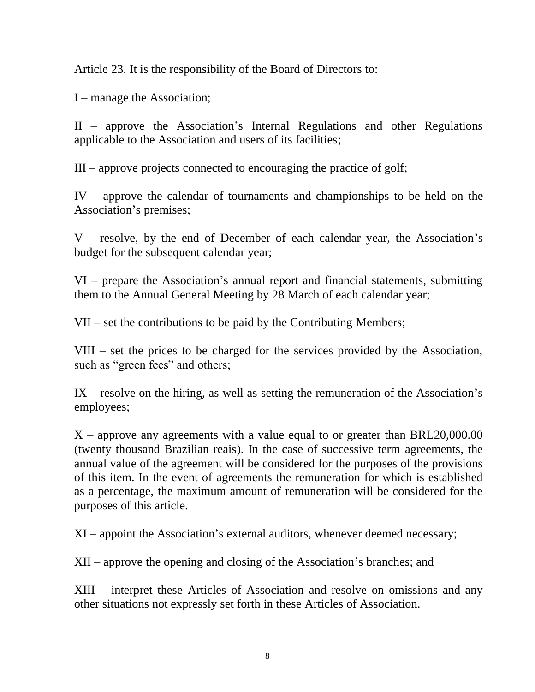Article 23. It is the responsibility of the Board of Directors to:

I – manage the Association;

II – approve the Association's Internal Regulations and other Regulations applicable to the Association and users of its facilities;

III – approve projects connected to encouraging the practice of golf;

IV – approve the calendar of tournaments and championships to be held on the Association's premises;

V – resolve, by the end of December of each calendar year, the Association's budget for the subsequent calendar year;

VI – prepare the Association's annual report and financial statements, submitting them to the Annual General Meeting by 28 March of each calendar year;

VII – set the contributions to be paid by the Contributing Members;

VIII – set the prices to be charged for the services provided by the Association, such as "green fees" and others;

IX – resolve on the hiring, as well as setting the remuneration of the Association's employees;

 $X$  – approve any agreements with a value equal to or greater than BRL20,000.00 (twenty thousand Brazilian reais). In the case of successive term agreements, the annual value of the agreement will be considered for the purposes of the provisions of this item. In the event of agreements the remuneration for which is established as a percentage, the maximum amount of remuneration will be considered for the purposes of this article.

XI – appoint the Association's external auditors, whenever deemed necessary;

XII – approve the opening and closing of the Association's branches; and

XIII – interpret these Articles of Association and resolve on omissions and any other situations not expressly set forth in these Articles of Association.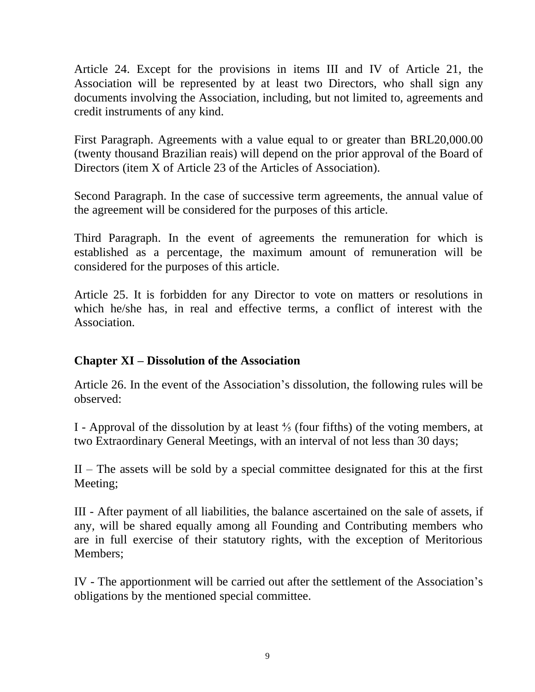Article 24. Except for the provisions in items III and IV of Article 21, the Association will be represented by at least two Directors, who shall sign any documents involving the Association, including, but not limited to, agreements and credit instruments of any kind.

First Paragraph. Agreements with a value equal to or greater than BRL20,000.00 (twenty thousand Brazilian reais) will depend on the prior approval of the Board of Directors (item X of Article 23 of the Articles of Association).

Second Paragraph. In the case of successive term agreements, the annual value of the agreement will be considered for the purposes of this article.

Third Paragraph. In the event of agreements the remuneration for which is established as a percentage, the maximum amount of remuneration will be considered for the purposes of this article.

Article 25. It is forbidden for any Director to vote on matters or resolutions in which he/she has, in real and effective terms, a conflict of interest with the Association.

### **Chapter XI – Dissolution of the Association**

Article 26. In the event of the Association's dissolution, the following rules will be observed:

I - Approval of the dissolution by at least ⅘ (four fifths) of the voting members, at two Extraordinary General Meetings, with an interval of not less than 30 days;

II – The assets will be sold by a special committee designated for this at the first Meeting;

III - After payment of all liabilities, the balance ascertained on the sale of assets, if any, will be shared equally among all Founding and Contributing members who are in full exercise of their statutory rights, with the exception of Meritorious Members;

IV - The apportionment will be carried out after the settlement of the Association's obligations by the mentioned special committee.